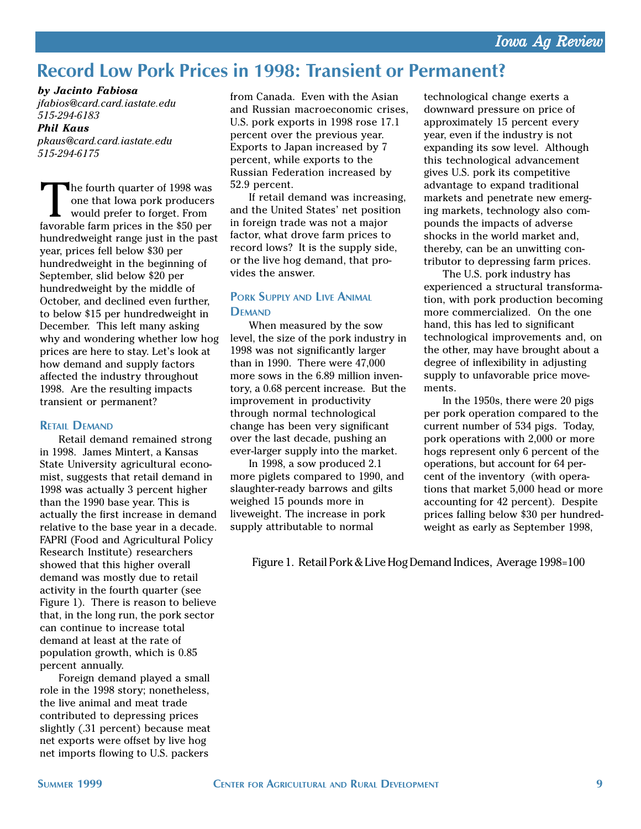# Record Low Pork Prices in 1998: Transient or Permanent?

*by Jacinto Fabiosa*

*jfabios@card.card.iastate.edu 515-294-6183*

### *Phil Kaus*

*pkaus@card.card.iastate.edu 515-294-6175*

The fourth quarter of 1998 was<br>one that lowa pork producers<br>would prefer to forget. From<br>favorable farm prices in the \$50 per one that Iowa pork producers would prefer to forget. From favorable farm prices in the \$50 per hundredweight range just in the past year, prices fell below \$30 per hundredweight in the beginning of September, slid below \$20 per hundredweight by the middle of October, and declined even further, to below \$15 per hundredweight in December. This left many asking why and wondering whether low hog prices are here to stay. Let's look at how demand and supply factors affected the industry throughout 1998. Are the resulting impacts transient or permanent?

#### RETAIL DEMAND

Retail demand remained strong in 1998. James Mintert, a Kansas State University agricultural economist, suggests that retail demand in 1998 was actually 3 percent higher than the 1990 base year. This is actually the first increase in demand relative to the base year in a decade. FAPRI (Food and Agricultural Policy Research Institute) researchers showed that this higher overall demand was mostly due to retail activity in the fourth quarter (see Figure 1). There is reason to believe that, in the long run, the pork sector can continue to increase total demand at least at the rate of population growth, which is 0.85 percent annually.

Foreign demand played a small role in the 1998 story; nonetheless, the live animal and meat trade contributed to depressing prices slightly (.31 percent) because meat net exports were offset by live hog net imports flowing to U.S. packers

from Canada. Even with the Asian and Russian macroeconomic crises, U.S. pork exports in 1998 rose 17.1 percent over the previous year. Exports to Japan increased by 7 percent, while exports to the Russian Federation increased by 52.9 percent.

If retail demand was increasing, and the United States' net position in foreign trade was not a major factor, what drove farm prices to record lows? It is the supply side, or the live hog demand, that provides the answer.

# PORK SUPPLY AND LIVE ANIMAL **DEMAND**

When measured by the sow level, the size of the pork industry in 1998 was not significantly larger than in 1990. There were 47,000 more sows in the 6.89 million inventory, a 0.68 percent increase. But the improvement in productivity through normal technological change has been very significant over the last decade, pushing an ever-larger supply into the market.

In 1998, a sow produced 2.1 more piglets compared to 1990, and slaughter-ready barrows and gilts weighed 15 pounds more in liveweight. The increase in pork supply attributable to normal

technological change exerts a downward pressure on price of approximately 15 percent every year, even if the industry is not expanding its sow level. Although this technological advancement gives U.S. pork its competitive advantage to expand traditional markets and penetrate new emerging markets, technology also compounds the impacts of adverse shocks in the world market and, thereby, can be an unwitting contributor to depressing farm prices.

The U.S. pork industry has experienced a structural transformation, with pork production becoming more commercialized. On the one hand, this has led to significant technological improvements and, on the other, may have brought about a degree of inflexibility in adjusting supply to unfavorable price movements.

In the 1950s, there were 20 pigs per pork operation compared to the current number of 534 pigs. Today, pork operations with 2,000 or more hogs represent only 6 percent of the operations, but account for 64 percent of the inventory (with operations that market 5,000 head or more accounting for 42 percent). Despite prices falling below \$30 per hundredweight as early as September 1998,

Figure 1. Retail Pork & Live Hog Demand Indices, Average 1998=100